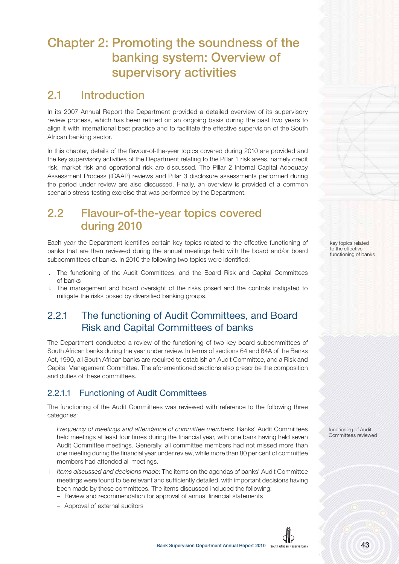# **Chapter 2: Promoting the soundness of the banking system: Overview of supervisory activities**

# **2.1 Introduction**

In its 2007 Annual Report the Department provided a detailed overview of its supervisory review process, which has been refined on an ongoing basis during the past two years to align it with international best practice and to facilitate the effective supervision of the South African banking sector.

In this chapter, details of the flavour-of-the-year topics covered during 2010 are provided and the key supervisory activities of the Department relating to the Pillar 1 risk areas, namely credit risk, market risk and operational risk are discussed. The Pillar 2 Internal Capital Adequacy Assessment Process (ICAAP) reviews and Pillar 3 disclosure assessments performed during the period under review are also discussed. Finally, an overview is provided of a common scenario stress-testing exercise that was performed by the Department.

# **2.2 Flavour-of-the-year topics covered during 2010**

Each year the Department identifies certain key topics related to the effective functioning of banks that are then reviewed during the annual meetings held with the board and/or board subcommittees of banks. In 2010 the following two topics were identified:

- i. The functioning of the Audit Committees, and the Board Risk and Capital Committees of banks
- ii. The management and board oversight of the risks posed and the controls instigated to mitigate the risks posed by diversified banking groups.

### 2.2.1 The functioning of Audit Committees, and Board Risk and Capital Committees of banks

The Department conducted a review of the functioning of two key board subcommittees of South African banks during the year under review. In terms of sections 64 and 64A of the Banks Act, 1990, all South African banks are required to establish an Audit Committee, and a Risk and Capital Management Committee. The aforementioned sections also prescribe the composition and duties of these committees.

### 2.2.1.1 Functioning of Audit Committees

The functioning of the Audit Committees was reviewed with reference to the following three categories:

- i Frequency of meetings and attendance of committee members: Banks' Audit Committees held meetings at least four times during the financial year, with one bank having held seven Audit Committee meetings. Generally, all committee members had not missed more than one meeting during the financial year under review, while more than 80 per cent of committee members had attended all meetings.
- ii Items discussed and decisions made: The items on the agendas of banks' Audit Committee meetings were found to be relevant and sufficiently detailed, with important decisions having been made by these committees. The items discussed included the following:
	- Review and recommendation for approval of annual financial statements
	- Approval of external auditors



functioning of Audit Committees reviewed

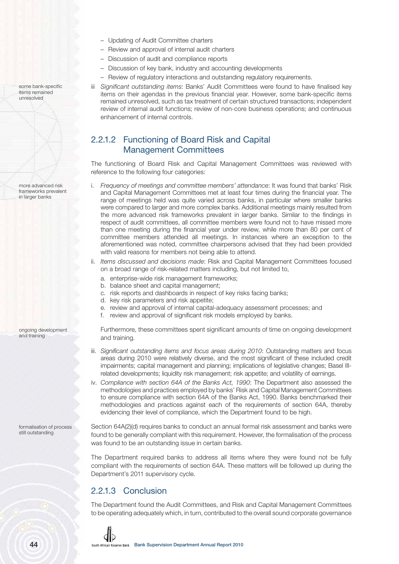- Updating of Audit Committee charters
- Review and approval of internal audit charters
- Discussion of audit and compliance reports
- Discussion of key bank, industry and accounting developments
- Review of regulatory interactions and outstanding regulatory requirements.
- iii Significant outstanding items: Banks' Audit Committees were found to have finalised key items on their agendas in the previous financial year. However, some bank-specific items remained unresolved, such as tax treatment of certain structured transactions; independent review of internal audit functions; review of non-core business operations; and continuous enhancement of internal controls.

### 2.2.1.2 Functioning of Board Risk and Capital Management Committees

The functioning of Board Risk and Capital Management Committees was reviewed with reference to the following four categories:

- i. Frequency of meetings and committee members' attendance: It was found that banks' Risk and Capital Management Committees met at least four times during the financial year. The range of meetings held was quite varied across banks, in particular where smaller banks were compared to larger and more complex banks. Additional meetings mainly resulted from the more advanced risk frameworks prevalent in larger banks. Similar to the findings in respect of audit committees, all committee members were found not to have missed more than one meeting during the financial year under review, while more than 80 per cent of committee members attended all meetings. In instances where an exception to the aforementioned was noted, committee chairpersons advised that they had been provided with valid reasons for members not being able to attend.
- ii. Items discussed and decisions made: Risk and Capital Management Committees focused on a broad range of risk-related matters including, but not limited to,
	- a. enterprise-wide risk management frameworks;
	- b. balance sheet and capital management;
	- c. risk reports and dashboards in respect of key risks facing banks;
	- d. key risk parameters and risk appetite;
	- e. review and approval of internal capital-adequacy assessment processes; and
	- f. review and approval of significant risk models employed by banks.

Furthermore, these committees spent significant amounts of time on ongoing development and training.

- iii. Significant outstanding items and focus areas during 2010: Outstanding matters and focus areas during 2010 were relatively diverse, and the most significant of these included credit impairments; capital management and planning; implications of legislative changes; Basel IIIrelated developments; liquidity risk management; risk appetite; and volatility of earnings.
- iv. Compliance with section 64A of the Banks Act, 1990: The Department also assessed the methodologies and practices employed by banks' Risk and Capital Management Committees to ensure compliance with section 64A of the Banks Act, 1990. Banks benchmarked their methodologies and practices against each of the requirements of section 64A, thereby evidencing their level of compliance, which the Department found to be high.

Section 64A(2)(d) requires banks to conduct an annual formal risk assessment and banks were found to be generally compliant with this requirement. However, the formalisation of the process was found to be an outstanding issue in certain banks.

The Department required banks to address all items where they were found not be fully compliant with the requirements of section 64A. These matters will be followed up during the Department's 2011 supervisory cycle.

### 2.2.1.3 Conclusion

The Department found the Audit Committees, and Risk and Capital Management Committees to be operating adequately which, in turn, contributed to the overall sound corporate governance



more advanced risk frameworks prevalent in larger banks

ongoing development and training

formalisation of process still outstanding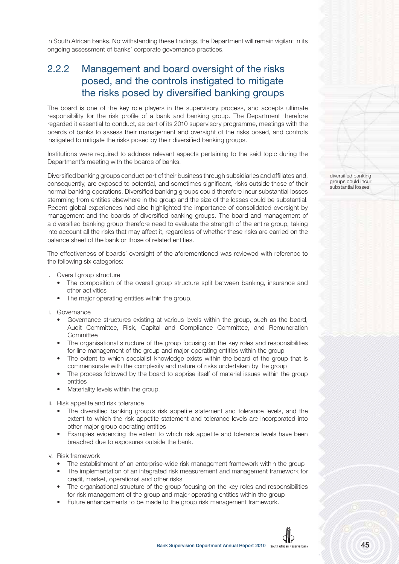in South African banks. Notwithstanding these findings, the Department will remain vigilant in its ongoing assessment of banks' corporate governance practices.

### 2.2.2 Management and board oversight of the risks posed, and the controls instigated to mitigate the risks posed by diversified banking groups

The board is one of the key role players in the supervisory process, and accepts ultimate responsibility for the risk profile of a bank and banking group. The Department therefore regarded it essential to conduct, as part of its 2010 supervisory programme, meetings with the boards of banks to assess their management and oversight of the risks posed, and controls instigated to mitigate the risks posed by their diversified banking groups.

Institutions were required to address relevant aspects pertaining to the said topic during the Department's meeting with the boards of banks.

Diversified banking groups conduct part of their business through subsidiaries and affiliates and, consequently, are exposed to potential, and sometimes significant, risks outside those of their normal banking operations. Diversified banking groups could therefore incur substantial losses stemming from entities elsewhere in the group and the size of the losses could be substantial. Recent global experiences had also highlighted the importance of consolidated oversight by management and the boards of diversified banking groups. The board and management of a diversified banking group therefore need to evaluate the strength of the entire group, taking into account all the risks that may affect it, regardless of whether these risks are carried on the balance sheet of the bank or those of related entities.

The effectiveness of boards' oversight of the aforementioned was reviewed with reference to the following six categories:

- i. Overall group structure
	- The composition of the overall group structure split between banking, insurance and other activities
	- The major operating entities within the group.
- ii. Governance
	- Governance structures existing at various levels within the group, such as the board, Audit Committee, Risk, Capital and Compliance Committee, and Remuneration **Committee**
	- The organisational structure of the group focusing on the key roles and responsibilities for line management of the group and major operating entities within the group
	- The extent to which specialist knowledge exists within the board of the group that is commensurate with the complexity and nature of risks undertaken by the group
	- The process followed by the board to apprise itself of material issues within the group entities
	- Materiality levels within the group.

iii. Risk appetite and risk tolerance

- The diversified banking group's risk appetite statement and tolerance levels, and the extent to which the risk appetite statement and tolerance levels are incorporated into other major group operating entities
- Examples evidencing the extent to which risk appetite and tolerance levels have been breached due to exposures outside the bank.

iv. Risk framework

- The establishment of an enterprise-wide risk management framework within the group
- The implementation of an integrated risk measurement and management framework for credit, market, operational and other risks
- The organisational structure of the group focusing on the key roles and responsibilities for risk management of the group and major operating entities within the group
- Future enhancements to be made to the group risk management framework.

diversified banking groups could incur substantial losses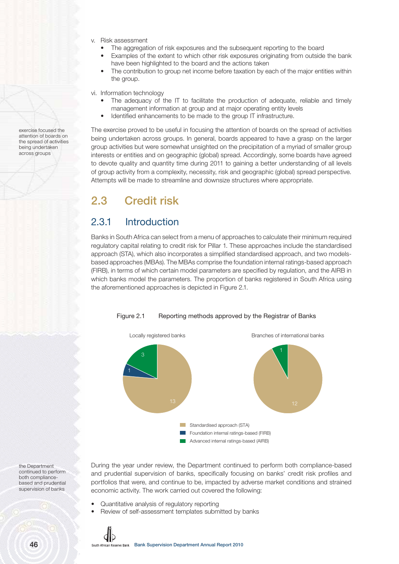- v. Risk assessment
	- The aggregation of risk exposures and the subsequent reporting to the board
	- Examples of the extent to which other risk exposures originating from outside the bank have been highlighted to the board and the actions taken
	- The contribution to group net income before taxation by each of the major entities within the group.

vi. Information technology

- The adequacy of the IT to facilitate the production of adequate, reliable and timely management information at group and at major operating entity levels
- Identified enhancements to be made to the group IT infrastructure.

The exercise proved to be useful in focusing the attention of boards on the spread of activities being undertaken across groups. In general, boards appeared to have a grasp on the larger group activities but were somewhat unsighted on the precipitation of a myriad of smaller group interests or entities and on geographic (global) spread. Accordingly, some boards have agreed to devote quality and quantity time during 2011 to gaining a better understanding of all levels of group activity from a complexity, necessity, risk and geographic (global) spread perspective. Attempts will be made to streamline and downsize structures where appropriate.

# **2.3 Credit risk**

### 2.3.1 Introduction

Banks in South Africa can select from a menu of approaches to calculate their minimum required regulatory capital relating to credit risk for Pillar 1. These approaches include the standardised approach (STA), which also incorporates a simplified standardised approach, and two modelsbased approaches (MBAs). The MBAs comprise the foundation internal ratings-based approach (FIRB), in terms of which certain model parameters are specified by regulation, and the AIRB in which banks model the parameters. The proportion of banks registered in South Africa using the aforementioned approaches is depicted in Figure 2.1.





the Department continued to perform both compliancebased and prudential supervision of banks

exercise focused the attention of boards on the spread of activities being undertaken across groups

- During the year under review, the Department continued to perform both compliance-based and prudential supervision of banks, specifically focusing on banks' credit risk profiles and portfolios that were, and continue to be, impacted by adverse market conditions and strained economic activity. The work carried out covered the following:
- Quantitative analysis of regulatory reporting
- Review of self-assessment templates submitted by banks

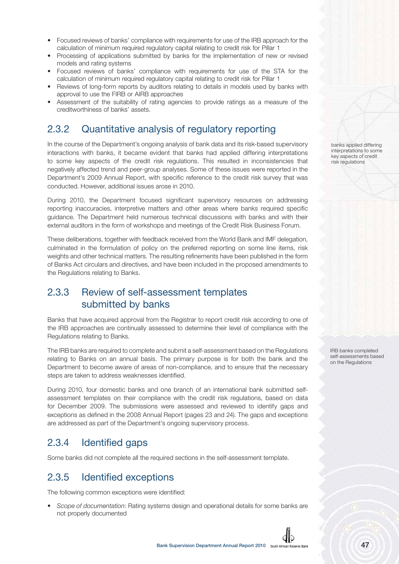- Focused reviews of banks' compliance with requirements for use of the IRB approach for the calculation of minimum required regulatory capital relating to credit risk for Pillar 1
- Processing of applications submitted by banks for the implementation of new or revised models and rating systems
- Focused reviews of banks' compliance with requirements for use of the STA for the calculation of minimum required regulatory capital relating to credit risk for Pillar 1
- Reviews of long-form reports by auditors relating to details in models used by banks with approval to use the FIRB or AIRB approaches
- Assessment of the suitability of rating agencies to provide ratings as a measure of the creditworthiness of banks' assets.

### 2.3.2 Quantitative analysis of regulatory reporting

In the course of the Department's ongoing analysis of bank data and its risk-based supervisory interactions with banks, it became evident that banks had applied differing interpretations to some key aspects of the credit risk regulations. This resulted in inconsistencies that negatively affected trend and peer-group analyses. Some of these issues were reported in the Department's 2009 Annual Report, with specific reference to the credit risk survey that was conducted. However, additional issues arose in 2010.

During 2010, the Department focused significant supervisory resources on addressing reporting inaccuracies, interpretive matters and other areas where banks required specific guidance. The Department held numerous technical discussions with banks and with their external auditors in the form of workshops and meetings of the Credit Risk Business Forum.

These deliberations, together with feedback received from the World Bank and IMF delegation, culminated in the formulation of policy on the preferred reporting on some line items, risk weights and other technical matters. The resulting refinements have been published in the form of Banks Act circulars and directives, and have been included in the proposed amendments to the Regulations relating to Banks.

### 2.3.3 Review of self-assessment templates submitted by banks

Banks that have acquired approval from the Registrar to report credit risk according to one of the IRB approaches are continually assessed to determine their level of compliance with the Regulations relating to Banks.

The IRB banks are required to complete and submit a self-assessment based on the Regulations relating to Banks on an annual basis. The primary purpose is for both the bank and the Department to become aware of areas of non-compliance, and to ensure that the necessary steps are taken to address weaknesses identified.

During 2010, four domestic banks and one branch of an international bank submitted selfassessment templates on their compliance with the credit risk regulations, based on data for December 2009. The submissions were assessed and reviewed to identify gaps and exceptions as defined in the 2008 Annual Report (pages 23 and 24). The gaps and exceptions are addressed as part of the Department's ongoing supervisory process.

### 2.3.4 Identified gaps

Some banks did not complete all the required sections in the self-assessment template.

### 2.3.5 Identified exceptions

The following common exceptions were identified:

• Scope of documentation: Rating systems design and operational details for some banks are not properly documented

banks applied differing interpretations to some key aspects of credit risk regulations

IRB banks completed self-assessments based on the Regulations

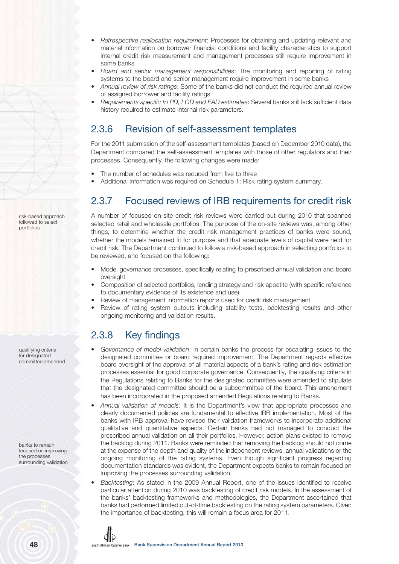- Retrospective reallocation requirement: Processes for obtaining and updating relevant and material information on borrower financial conditions and facility characteristics to support internal credit risk measurement and management processes still require improvement in some banks
- Board and senior management responsibilities: The monitoring and reporting of rating systems to the board and senior management require improvement in some banks
- Annual review of risk ratings: Some of the banks did not conduct the required annual review of assigned borrower and facility ratings
- Requirements specific to PD, LGD and EAD estimates: Several banks still lack sufficient data history required to estimate internal risk parameters.

### 2.3.6 Revision of self-assessment templates

For the 2011 submission of the self-assessment templates (based on December 2010 data), the Department compared the self-assessment templates with those of other regulators and their processes. Consequently, the following changes were made:

- The number of schedules was reduced from five to three
- Additional information was required on Schedule 1: Risk rating system summary.

### 2.3.7 Focused reviews of IRB requirements for credit risk

A number of focused on-site credit risk reviews were carried out during 2010 that spanned selected retail and wholesale portfolios. The purpose of the on-site reviews was, among other things, to determine whether the credit risk management practices of banks were sound, whether the models remained fit for purpose and that adequate levels of capital were held for credit risk. The Department continued to follow a risk-based approach in selecting portfolios to be reviewed, and focused on the following:

- Model governance processes, specifically relating to prescribed annual validation and board oversight
- Composition of selected portfolios, lending strategy and risk appetite (with specific reference to documentary evidence of its existence and use)
- Review of management information reports used for credit risk management
- Review of rating system outputs including stability tests, backtesting results and other ongoing monitoring and validation results.

## 2.3.8 Key findings

- Governance of model validation: In certain banks the process for escalating issues to the designated committee or board required improvement. The Department regards effective board oversight of the approval of all material aspects of a bank's rating and risk estimation processes essential for good corporate governance. Consequently, the qualifying criteria in the Regulations relating to Banks for the designated committee were amended to stipulate that the designated committee should be a subcommittee of the board. This amendment has been incorporated in the proposed amended Regulations relating to Banks.
- Annual validation of models: It is the Department's view that appropriate processes and clearly documented policies are fundamental to effective IRB implementation. Most of the banks with IRB approval have revised their validation frameworks to incorporate additional qualitative and quantitative aspects. Certain banks had not managed to conduct the prescribed annual validation on all their portfolios. However, action plans existed to remove the backlog during 2011. Banks were reminded that removing the backlog should not come at the expense of the depth and quality of the independent reviews, annual validations or the ongoing monitoring of the rating systems. Even though significant progress regarding documentation standards was evident, the Department expects banks to remain focused on improving the processes surrounding validation.
- Backtesting: As stated in the 2009 Annual Report, one of the issues identified to receive particular attention during 2010 was backtesting of credit risk models. In the assessment of the banks' backtesting frameworks and methodologies, the Department ascertained that banks had performed limited out-of-time backtesting on the rating system parameters. Given the importance of backtesting, this will remain a focus area for 2011.

risk-based approach followed to select portfolios

qualifying criteria for designated committee amended

banks to remain focused on improving the processes surrounding validation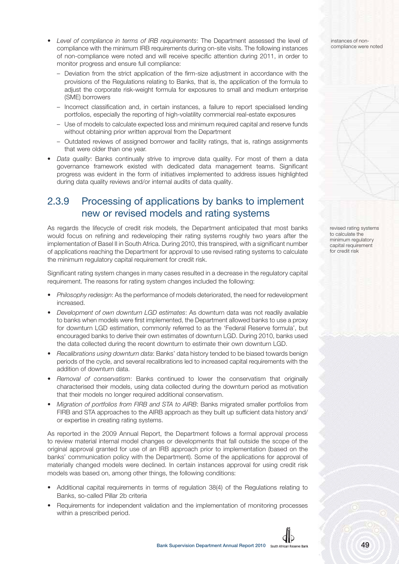- Level of compliance in terms of IRB requirements: The Department assessed the level of compliance with the minimum IRB requirements during on-site visits. The following instances of non-compliance were noted and will receive specific attention during 2011, in order to monitor progress and ensure full compliance:
	- Deviation from the strict application of the firm-size adjustment in accordance with the provisions of the Regulations relating to Banks, that is, the application of the formula to adjust the corporate risk-weight formula for exposures to small and medium enterprise (SME) borrowers
	- Incorrect classification and, in certain instances, a failure to report specialised lending portfolios, especially the reporting of high-volatility commercial real-estate exposures
	- Use of models to calculate expected loss and minimum required capital and reserve funds without obtaining prior written approval from the Department
	- Outdated reviews of assigned borrower and facility ratings, that is, ratings assignments that were older than one year.
- Data quality: Banks continually strive to improve data quality. For most of them a data governance framework existed with dedicated data management teams. Significant progress was evident in the form of initiatives implemented to address issues highlighted during data quality reviews and/or internal audits of data quality.

### 2.3.9 Processing of applications by banks to implement new or revised models and rating systems

As regards the lifecycle of credit risk models, the Department anticipated that most banks would focus on refining and redeveloping their rating systems roughly two years after the implementation of Basel II in South Africa. During 2010, this transpired, with a significant number of applications reaching the Department for approval to use revised rating systems to calculate the minimum regulatory capital requirement for credit risk.

Significant rating system changes in many cases resulted in a decrease in the regulatory capital requirement. The reasons for rating system changes included the following:

- Philosophy redesign: As the performance of models deteriorated, the need for redevelopment increased.
- Development of own downturn LGD estimates: As downturn data was not readily available to banks when models were first implemented, the Department allowed banks to use a proxy for downturn LGD estimation, commonly referred to as the 'Federal Reserve formula', but encouraged banks to derive their own estimates of downturn LGD. During 2010, banks used the data collected during the recent downturn to estimate their own downturn LGD.
- Recalibrations using downturn data: Banks' data history tended to be biased towards benign periods of the cycle, and several recalibrations led to increased capital requirements with the addition of downturn data.
- Removal of conservatism: Banks continued to lower the conservatism that originally characterised their models, using data collected during the downturn period as motivation that their models no longer required additional conservatism.
- Migration of portfolios from FIRB and STA to AIRB: Banks migrated smaller portfolios from FIRB and STA approaches to the AIRB approach as they built up sufficient data history and/ or expertise in creating rating systems.

As reported in the 2009 Annual Report, the Department follows a formal approval process to review material internal model changes or developments that fall outside the scope of the original approval granted for use of an IRB approach prior to implementation (based on the banks' communication policy with the Department). Some of the applications for approval of materially changed models were declined. In certain instances approval for using credit risk models was based on, among other things, the following conditions:

- Additional capital requirements in terms of regulation 38(4) of the Regulations relating to Banks, so-called Pillar 2b criteria
- Requirements for independent validation and the implementation of monitoring processes within a prescribed period.

instances of noncompliance were noted

revised rating systems to calculate the minimum regulatory capital requirement for credit risk

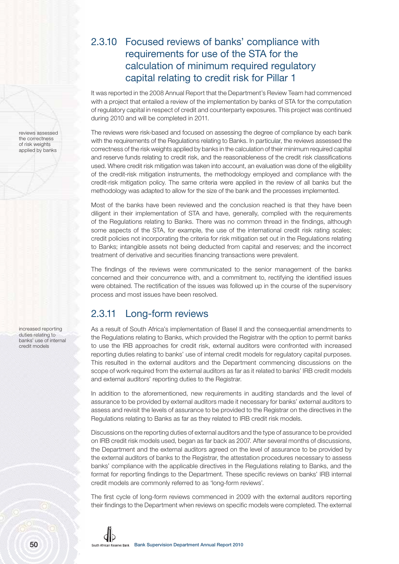### 2.3.10 Focused reviews of banks' compliance with requirements for use of the STA for the calculation of minimum required regulatory capital relating to credit risk for Pillar 1

It was reported in the 2008 Annual Report that the Department's Review Team had commenced with a project that entailed a review of the implementation by banks of STA for the computation of regulatory capital in respect of credit and counterparty exposures. This project was continued during 2010 and will be completed in 2011.

The reviews were risk-based and focused on assessing the degree of compliance by each bank with the requirements of the Regulations relating to Banks. In particular, the reviews assessed the correctness of the risk weights applied by banks in the calculation of their minimum required capital and reserve funds relating to credit risk, and the reasonableness of the credit risk classifications used. Where credit risk mitigation was taken into account, an evaluation was done of the eligibility of the credit-risk mitigation instruments, the methodology employed and compliance with the credit-risk mitigation policy. The same criteria were applied in the review of all banks but the methodology was adapted to allow for the size of the bank and the processes implemented.

Most of the banks have been reviewed and the conclusion reached is that they have been diligent in their implementation of STA and have, generally, complied with the requirements of the Regulations relating to Banks. There was no common thread in the findings, although some aspects of the STA, for example, the use of the international credit risk rating scales; credit policies not incorporating the criteria for risk mitigation set out in the Regulations relating to Banks; intangible assets not being deducted from capital and reserves; and the incorrect treatment of derivative and securities financing transactions were prevalent.

The findings of the reviews were communicated to the senior management of the banks concerned and their concurrence with, and a commitment to, rectifying the identified issues were obtained. The rectification of the issues was followed up in the course of the supervisory process and most issues have been resolved.

### 2.3.11 Long-form reviews

As a result of South Africa's implementation of Basel II and the consequential amendments to the Regulations relating to Banks, which provided the Registrar with the option to permit banks to use the IRB approaches for credit risk, external auditors were confronted with increased reporting duties relating to banks' use of internal credit models for regulatory capital purposes. This resulted in the external auditors and the Department commencing discussions on the scope of work required from the external auditors as far as it related to banks' IRB credit models and external auditors' reporting duties to the Registrar.

In addition to the aforementioned, new requirements in auditing standards and the level of assurance to be provided by external auditors made it necessary for banks' external auditors to assess and revisit the levels of assurance to be provided to the Registrar on the directives in the Regulations relating to Banks as far as they related to IRB credit risk models.

Discussions on the reporting duties of external auditors and the type of assurance to be provided on IRB credit risk models used, began as far back as 2007. After several months of discussions, the Department and the external auditors agreed on the level of assurance to be provided by the external auditors of banks to the Registrar, the attestation procedures necessary to assess banks' compliance with the applicable directives in the Regulations relating to Banks, and the format for reporting findings to the Department. These specific reviews on banks' IRB internal credit models are commonly referred to as 'long-form reviews'.

The first cycle of long-form reviews commenced in 2009 with the external auditors reporting their findings to the Department when reviews on specific models were completed. The external



reviews assessed the correctness of risk weights applied by banks

increased reporting duties relating to banks' use of internal credit models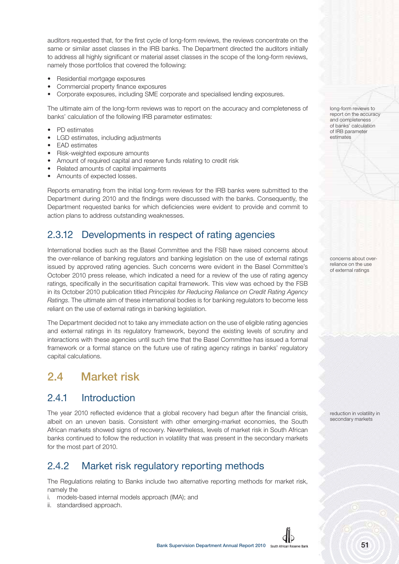auditors requested that, for the first cycle of long-form reviews, the reviews concentrate on the same or similar asset classes in the IRB banks. The Department directed the auditors initially to address all highly significant or material asset classes in the scope of the long-form reviews, namely those portfolios that covered the following:

- Residential mortgage exposures
- Commercial property finance exposures
- Corporate exposures, including SME corporate and specialised lending exposures.

The ultimate aim of the long-form reviews was to report on the accuracy and completeness of banks' calculation of the following IRB parameter estimates:

- PD estimates
- LGD estimates, including adjustments
- EAD estimates
- Risk-weighted exposure amounts
- Amount of required capital and reserve funds relating to credit risk
- Related amounts of capital impairments
- Amounts of expected losses.

Reports emanating from the initial long-form reviews for the IRB banks were submitted to the Department during 2010 and the findings were discussed with the banks. Consequently, the Department requested banks for which deficiencies were evident to provide and commit to action plans to address outstanding weaknesses.

### 2.3.12 Developments in respect of rating agencies

International bodies such as the Basel Committee and the FSB have raised concerns about the over-reliance of banking regulators and banking legislation on the use of external ratings issued by approved rating agencies. Such concerns were evident in the Basel Committee's October 2010 press release, which indicated a need for a review of the use of rating agency ratings, specifically in the securitisation capital framework. This view was echoed by the FSB in its October 2010 publication titled Principles for Reducing Reliance on Credit Rating Agency Ratings. The ultimate aim of these international bodies is for banking regulators to become less reliant on the use of external ratings in banking legislation.

The Department decided not to take any immediate action on the use of eligible rating agencies and external ratings in its regulatory framework, beyond the existing levels of scrutiny and interactions with these agencies until such time that the Basel Committee has issued a formal framework or a formal stance on the future use of rating agency ratings in banks' regulatory capital calculations.

# **2.4 Market risk**

### 2.4.1 Introduction

The year 2010 reflected evidence that a global recovery had begun after the financial crisis, albeit on an uneven basis. Consistent with other emerging-market economies, the South African markets showed signs of recovery. Nevertheless, levels of market risk in South African banks continued to follow the reduction in volatility that was present in the secondary markets for the most part of 2010.

### 2.4.2 Market risk regulatory reporting methods

The Regulations relating to Banks include two alternative reporting methods for market risk, namely the

- i. models-based internal models approach (IMA); and
- ii. standardised approach.

long-form reviews to report on the accuracy and completeness of banks' calculation of IRB parameter estimates

concerns about overreliance on the use of external ratings

reduction in volatility in secondary markets

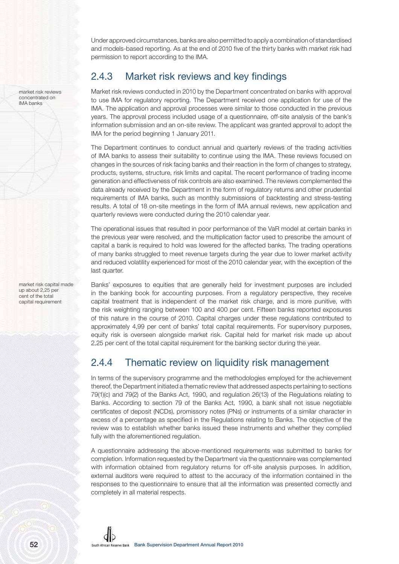Under approved circumstances, banks are also permitted to apply a combination of standardised and models-based reporting. As at the end of 2010 five of the thirty banks with market risk had permission to report according to the IMA.

### 2.4.3 Market risk reviews and key findings

Market risk reviews conducted in 2010 by the Department concentrated on banks with approval to use IMA for regulatory reporting. The Department received one application for use of the IMA. The application and approval processes were similar to those conducted in the previous years. The approval process included usage of a questionnaire, off-site analysis of the bank's information submission and an on-site review. The applicant was granted approval to adopt the IMA for the period beginning 1 January 2011.

The Department continues to conduct annual and quarterly reviews of the trading activities of IMA banks to assess their suitability to continue using the IMA. These reviews focused on changes in the sources of risk facing banks and their reaction in the form of changes to strategy, products, systems, structure, risk limits and capital. The recent performance of trading income generation and effectiveness of risk controls are also examined. The reviews complemented the data already received by the Department in the form of regulatory returns and other prudential requirements of IMA banks, such as monthly submissions of backtesting and stress-testing results. A total of 18 on-site meetings in the form of IMA annual reviews, new application and quarterly reviews were conducted during the 2010 calendar year.

The operational issues that resulted in poor performance of the VaR model at certain banks in the previous year were resolved, and the multiplication factor used to prescribe the amount of capital a bank is required to hold was lowered for the affected banks. The trading operations of many banks struggled to meet revenue targets during the year due to lower market activity and reduced volatility experienced for most of the 2010 calendar year, with the exception of the last quarter.

Banks' exposures to equities that are generally held for investment purposes are included in the banking book for accounting purposes. From a regulatory perspective, they receive capital treatment that is independent of the market risk charge, and is more punitive, with the risk weighting ranging between 100 and 400 per cent. Fifteen banks reported exposures of this nature in the course of 2010. Capital charges under these regulations contributed to approximately 4,99 per cent of banks' total capital requirements. For supervisory purposes, equity risk is overseen alongside market risk. Capital held for market risk made up about 2,25 per cent of the total capital requirement for the banking sector during the year.

### 2.4.4 Thematic review on liquidity risk management

In terms of the supervisory programme and the methodologies employed for the achievement thereof, the Department initiated a thematic review that addressed aspects pertaining to sections 79(1)(c) and 79(2) of the Banks Act, 1990, and regulation 26(13) of the Regulations relating to Banks. According to section 79 of the Banks Act, 1990, a bank shall not issue negotiable certificates of deposit (NCDs), promissory notes (PNs) or instruments of a similar character in excess of a percentage as specified in the Regulations relating to Banks. The objective of the review was to establish whether banks issued these instruments and whether they complied fully with the aforementioned regulation.

A questionnaire addressing the above-mentioned requirements was submitted to banks for completion. Information requested by the Department via the questionnaire was complemented with information obtained from regulatory returns for off-site analysis purposes. In addition, external auditors were required to attest to the accuracy of the information contained in the responses to the questionnaire to ensure that all the information was presented correctly and completely in all material respects.

market risk reviews concentrated on IMA banks

market risk capital made up about 2,25 per cent of the total capital requirement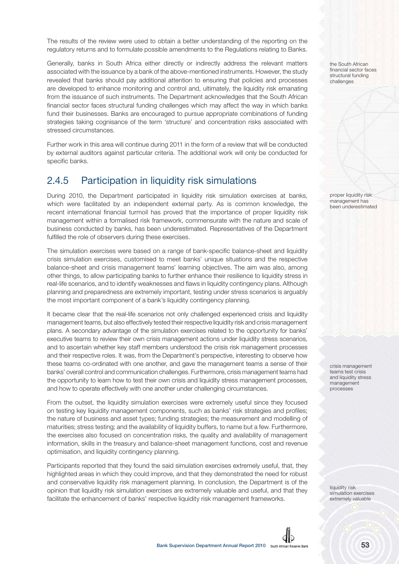The results of the review were used to obtain a better understanding of the reporting on the regulatory returns and to formulate possible amendments to the Regulations relating to Banks.

Generally, banks in South Africa either directly or indirectly address the relevant matters associated with the issuance by a bank of the above-mentioned instruments. However, the study revealed that banks should pay additional attention to ensuring that policies and processes are developed to enhance monitoring and control and, ultimately, the liquidity risk emanating from the issuance of such instruments. The Department acknowledges that the South African financial sector faces structural funding challenges which may affect the way in which banks fund their businesses. Banks are encouraged to pursue appropriate combinations of funding strategies taking cognisance of the term 'structure' and concentration risks associated with stressed circumstances.

Further work in this area will continue during 2011 in the form of a review that will be conducted by external auditors against particular criteria. The additional work will only be conducted for specific banks.

### 2.4.5 Participation in liquidity risk simulations

During 2010, the Department participated in liquidity risk simulation exercises at banks, which were facilitated by an independent external party. As is common knowledge, the recent international financial turmoil has proved that the importance of proper liquidity risk management within a formalised risk framework, commensurate with the nature and scale of business conducted by banks, has been underestimated. Representatives of the Department fulfilled the role of observers during these exercises.

The simulation exercises were based on a range of bank-specific balance-sheet and liquidity crisis simulation exercises, customised to meet banks' unique situations and the respective balance-sheet and crisis management teams' learning objectives. The aim was also, among other things, to allow participating banks to further enhance their resilience to liquidity stress in real-life scenarios, and to identify weaknesses and flaws in liquidity contingency plans. Although planning and preparedness are extremely important, testing under stress scenarios is arguably the most important component of a bank's liquidity contingency planning.

It became clear that the real-life scenarios not only challenged experienced crisis and liquidity management teams, but also effectively tested their respective liquidity risk and crisis management plans. A secondary advantage of the simulation exercises related to the opportunity for banks' executive teams to review their own crisis management actions under liquidity stress scenarios, and to ascertain whether key staff members understood the crisis risk management processes and their respective roles. It was, from the Department's perspective, interesting to observe how these teams co-ordinated with one another, and gave the management teams a sense of their banks' overall control and communication challenges. Furthermore, crisis management teams had the opportunity to learn how to test their own crisis and liquidity stress management processes, and how to operate effectively with one another under challenging circumstances.

From the outset, the liquidity simulation exercises were extremely useful since they focused on testing key liquidity management components, such as banks' risk strategies and profiles; the nature of business and asset types; funding strategies; the measurement and modelling of maturities; stress testing; and the availability of liquidity buffers, to name but a few. Furthermore, the exercises also focused on concentration risks, the quality and availability of management information, skills in the treasury and balance-sheet management functions, cost and revenue optimisation, and liquidity contingency planning.

Participants reported that they found the said simulation exercises extremely useful, that, they highlighted areas in which they could improve, and that they demonstrated the need for robust and conservative liquidity risk management planning. In conclusion, the Department is of the opinion that liquidity risk simulation exercises are extremely valuable and useful, and that they facilitate the enhancement of banks' respective liquidity risk management frameworks.

the South African financial sector faces structural funding challenges

proper liquidity risk management has been underestimated

crisis management teams test crisis and liquidity stress management processes

liquidity risk simulation exercises extremely valuable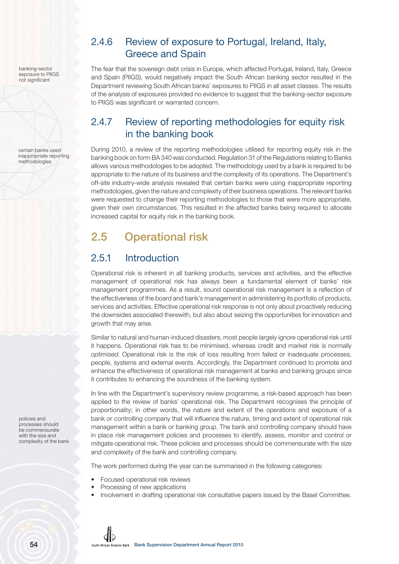banking-sector exposure to PIIGS not significant

certain banks used inappropriate reporting methodologies

## 2.4.6 Review of exposure to Portugal, Ireland, Italy, Greece and Spain

The fear that the sovereign debt crisis in Europe, which affected Portugal, Ireland, Italy, Greece and Spain (PIIGS), would negatively impact the South African banking sector resulted in the Department reviewing South African banks' exposures to PIIGS in all asset classes. The results of the analysis of exposures provided no evidence to suggest that the banking-sector exposure to PIIGS was significant or warranted concern.

### 2.4.7 Review of reporting methodologies for equity risk in the banking book

During 2010, a review of the reporting methodologies utilised for reporting equity risk in the banking book on form BA 340 was conducted. Regulation 31 of the Regulations relating to Banks allows various methodologies to be adopted. The methodology used by a bank is required to be appropriate to the nature of its business and the complexity of its operations. The Department's off-site industry-wide analysis revealed that certain banks were using inappropriate reporting methodologies, given the nature and complexity of their business operations. The relevant banks were requested to change their reporting methodologies to those that were more appropriate, given their own circumstances. This resulted in the affected banks being required to allocate increased capital for equity risk in the banking book.

# **2.5 Operational risk**

# 2.5.1 Introduction

Operational risk is inherent in all banking products, services and activities, and the effective management of operational risk has always been a fundamental element of banks' risk management programmes. As a result, sound operational risk management is a reflection of the effectiveness of the board and bank's management in administering its portfolio of products, services and activities. Effective operational risk response is not only about proactively reducing the downsides associated therewith, but also about seizing the opportunities for innovation and growth that may arise.

Similar to natural and human-induced disasters, most people largely ignore operational risk until it happens. Operational risk has to be minimised, whereas credit and market risk is normally optimised. Operational risk is the risk of loss resulting from failed or inadequate processes, people, systems and external events. Accordingly, the Department continued to promote and enhance the effectiveness of operational risk management at banks and banking groups since it contributes to enhancing the soundness of the banking system.

In line with the Department's supervisory review programme, a risk-based approach has been applied to the review of banks' operational risk. The Department recognises the principle of proportionality; in other words, the nature and extent of the operations and exposure of a bank or controlling company that will influence the nature, timing and extent of operational risk management within a bank or banking group. The bank and controlling company should have in place risk management policies and processes to identify, assess, monitor and control or mitigate operational risk. These policies and processes should be commensurate with the size and complexity of the bank and controlling company.

The work performed during the year can be summarised in the following categories:

- Focused operational risk reviews
- Processing of new applications
- Involvement in drafting operational risk consultative papers issued by the Basel Committee.

policies and processes should be commensurate with the size and complexity of the bank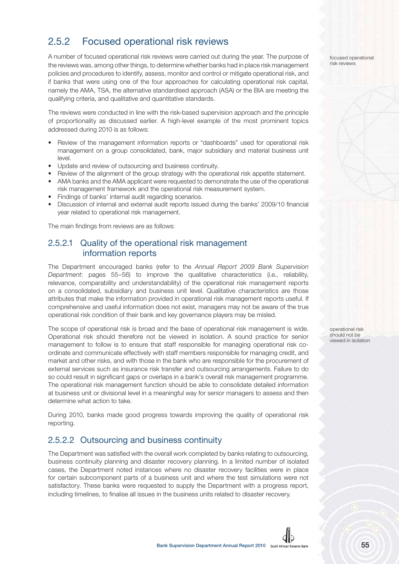### 2.5.2 Focused operational risk reviews

A number of focused operational risk reviews were carried out during the year. The purpose of the reviews was, among other things, to determine whether banks had in place risk management policies and procedures to identify, assess, monitor and control or mitigate operational risk, and if banks that were using one of the four approaches for calculating operational risk capital, namely the AMA, TSA, the alternative standardised approach (ASA) or the BIA are meeting the qualifying criteria, and qualitative and quantitative standards.

The reviews were conducted in line with the risk-based supervision approach and the principle of proportionality as discussed earlier. A high-level example of the most prominent topics addressed during 2010 is as follows:

- Review of the management information reports or "dashboards" used for operational risk management on a group consolidated, bank, major subsidiary and material business unit level.
- Update and review of outsourcing and business continuity.
- Review of the alignment of the group strategy with the operational risk appetite statement.
- AMA banks and the AMA applicant were requested to demonstrate the use of the operational risk management framework and the operational risk measurement system.
- Findings of banks' internal audit regarding scenarios.
- Discussion of internal and external audit reports issued during the banks' 2009/10 financial year related to operational risk management.

The main findings from reviews are as follows:

#### 2.5.2.1 Quality of the operational risk management information reports

The Department encouraged banks (refer to the Annual Report 2009 Bank Supervision Department: pages 55–56) to improve the qualitative characteristics (i.e., reliability, relevance, comparability and understandability) of the operational risk management reports on a consolidated, subsidiary and business unit level. Qualitative characteristics are those attributes that make the information provided in operational risk management reports useful. If comprehensive and useful information does not exist, managers may not be aware of the true operational risk condition of their bank and key governance players may be misled.

The scope of operational risk is broad and the base of operational risk management is wide. Operational risk should therefore not be viewed in isolation. A sound practice for senior management to follow is to ensure that staff responsible for managing operational risk coordinate and communicate effectively with staff members responsible for managing credit, and market and other risks, and with those in the bank who are responsible for the procurement of external services such as insurance risk transfer and outsourcing arrangements. Failure to do so could result in significant gaps or overlaps in a bank's overall risk management programme. The operational risk management function should be able to consolidate detailed information at business unit or divisional level in a meaningful way for senior managers to assess and then determine what action to take.

During 2010, banks made good progress towards improving the quality of operational risk reporting.

#### 2.5.2.2 Outsourcing and business continuity

The Department was satisfied with the overall work completed by banks relating to outsourcing, business continuity planning and disaster recovery planning. In a limited number of isolated cases, the Department noted instances where no disaster recovery facilities were in place for certain subcomponent parts of a business unit and where the test simulations were not satisfactory. These banks were requested to supply the Department with a progress report, including timelines, to finalise all issues in the business units related to disaster recovery.

focused operational risk reviews

operational risk should not be viewed in isolation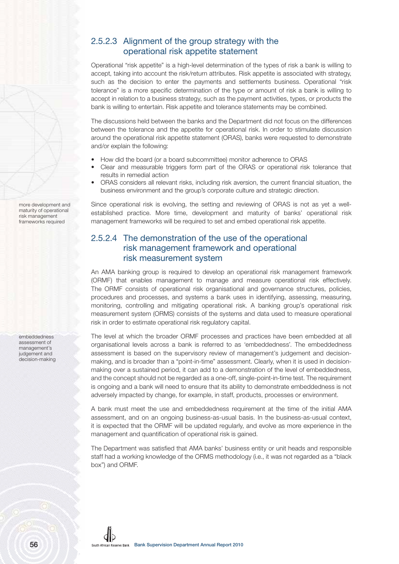#### 2.5.2.3 Alignment of the group strategy with the operational risk appetite statement

Operational "risk appetite" is a high-level determination of the types of risk a bank is willing to accept, taking into account the risk/return attributes. Risk appetite is associated with strategy, such as the decision to enter the payments and settlements business. Operational "risk tolerance" is a more specific determination of the type or amount of risk a bank is willing to accept in relation to a business strategy, such as the payment activities, types, or products the bank is willing to entertain. Risk appetite and tolerance statements may be combined.

The discussions held between the banks and the Department did not focus on the differences between the tolerance and the appetite for operational risk. In order to stimulate discussion around the operational risk appetite statement (ORAS) , banks were requested to demonstrate and/or explain the following:

- How did the board (or a board subcommittee) monitor adherence to ORAS
- Clear and measurable triggers form part of the ORAS or operational risk tolerance that results in remedial action
- ORAS considers all relevant risks, including risk aversion, the current financial situation, the business environment and the group's corporate culture and strategic direction.

Since operational risk is evolving, the setting and reviewing of ORAS is not as yet a wellestablished practice. More time, development and maturity of banks' operational risk management frameworks will be required to set and embed operational risk appetite.

### 2.5.2.4 The demonstration of the use of the operational risk management framework and operational risk measurement system

An AMA banking group is required to develop an operational risk management framework (ORMF) that enables management to manage and measure operational risk effectively. The ORMF consists of operational risk organisational and governance structures, policies, procedures and processes, and systems a bank uses in identifying, assessing, measuring, monitoring, controlling and mitigating operational risk. A banking group's operational risk measurement system (ORMS) consists of the systems and data used to measure operational risk in order to estimate operational risk regulatory capital.

The level at which the broader ORMF processes and practices have been embedded at all organisational levels across a bank is referred to as 'embeddedness'. The embeddedness assessment is based on the supervisory review of management's judgement and decisionmaking, and is broader than a "point-in-time" assessment. Clearly, when it is used in decisionmaking over a sustained period, it can add to a demonstration of the level of embeddedness, and the concept should not be regarded as a one-off, single-point-in-time test. The requirement is ongoing and a bank will need to ensure that its ability to demonstrate embeddedness is not adversely impacted by change, for example, in staff, products, processes or environment.

A bank must meet the use and embeddedness requirement at the time of the initial AMA assessment, and on an ongoing business-as-usual basis. In the business-as-usual context, it is expected that the ORMF will be updated regularly, and evolve as more experience in the management and quantification of operational risk is gained.

The Department was satisfied that AMA banks' business entity or unit heads and responsible staff had a working knowledge of the ORMS methodology (i.e., it was not regarded as a "black box") and ORMF.

more development and maturity of operational risk management frameworks required

embeddedness assessment of management's judgement and decision-making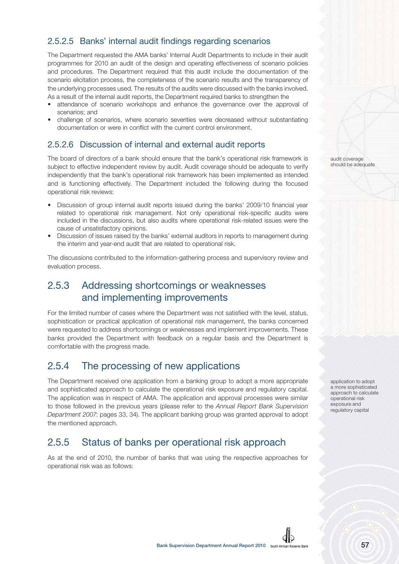### 2.5.2.5 Banks' internal audit findings regarding scenarios

The Department requested the AMA banks' Internal Audit Departments to include in their audit programmes for 2010 an audit of the design and operating effectiveness of scenario policies and procedures. The Department required that this audit include the documentation of the scenario elicitation process, the completeness of the scenario results and the transparency of the underlying processes used. The results of the audits were discussed with the banks involved. As a result of the internal audit reports, the Department required banks to strengthen the

- attendance of scenario workshops and enhance the governance over the approval of scenarios; and
- challenge of scenarios, where scenario severities were decreased without substantiating documentation or were in conflict with the current control environment.

#### 2.5.2.6 Discussion of internal and external audit reports

The board of directors of a bank should ensure that the bank's operational risk framework is subject to effective independent review by audit. Audit coverage should be adequate to verify independently that the bank's operational risk framework has been implemented as intended and is functioning effectively. The Department included the following during the focused operational risk reviews:

- Discussion of group internal audit reports issued during the banks' 2009/10 financial year related to operational risk management. Not only operational risk-specific audits were included in the discussions, but also audits where operational risk-related issues were the cause of unsatisfactory opinions.
- Discussion of issues raised by the banks' external auditors in reports to management during the interim and year-end audit that are related to operational risk.

The discussions contributed to the information-gathering process and supervisory review and evaluation process.

### 2.5.3 Addressing shortcomings or weaknesses and implementing improvements

For the limited number of cases where the Department was not satisfied with the level, status, sophistication or practical application of operational risk management, the banks concerned were requested to address shortcomings or weaknesses and implement improvements. These banks provided the Department with feedback on a regular basis and the Department is comfortable with the progress made.

### 2.5.4 The processing of new applications

The Department received one application from a banking group to adopt a more appropriate and sophisticated approach to calculate the operational risk exposure and regulatory capital. The application was in respect of AMA. The application and approval processes were similar to those followed in the previous years (please refer to the Annual Report Bank Supervision Department 2007: pages 33, 34). The applicant banking group was granted approval to adopt the mentioned approach.

### 2.5.5 Status of banks per operational risk approach

As at the end of 2010, the number of banks that was using the respective approaches for operational risk was as follows:

audit coverage should be adequate

application to adopt a more sophisticated approach to calculate operational risk exposure and regulatory capital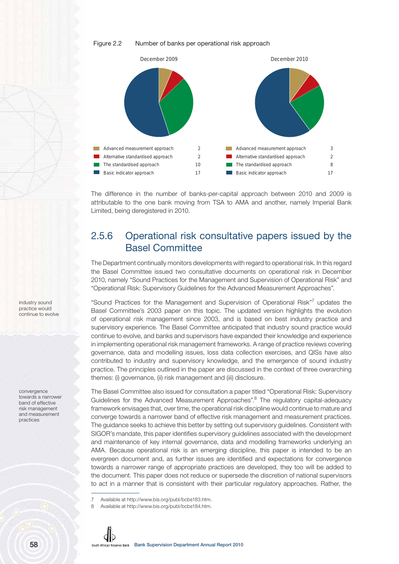#### Figure 2.2 Number of banks per operational risk approach



The difference in the number of banks-per-capital approach between 2010 and 2009 is attributable to the one bank moving from TSA to AMA and another, namely Imperial Bank Limited, being deregistered in 2010.

### 2.5.6 Operational risk consultative papers issued by the Basel Committee

The Department continually monitors developments with regard to operational risk. In this regard the Basel Committee issued two consultative documents on operational risk in December 2010, namely "Sound Practices for the Management and Supervision of Operational Risk" and "Operational Risk: Supervisory Guidelines for the Advanced Measurement Approaches".

"Sound Practices for the Management and Supervision of Operational Risk"7 updates the Basel Committee's 2003 paper on this topic. The updated version highlights the evolution of operational risk management since 2003, and is based on best industry practice and supervisory experience. The Basel Committee anticipated that industry sound practice would continue to evolve, and banks and supervisors have expanded their knowledge and experience in implementing operational risk management frameworks. A range of practice reviews covering governance, data and modelling issues, loss data collection exercises, and QISs have also contributed to industry and supervisory knowledge, and the emergence of sound industry practice. The principles outlined in the paper are discussed in the context of three overarching themes: (i) governance, (ii) risk management and (iii) disclosure.

The Basel Committee also issued for consultation a paper titled "Operational Risk: Supervisory Guidelines for the Advanced Measurement Approaches".<sup>8</sup> The regulatory capital-adequacy framework envisages that, over time, the operational risk discipline would continue to mature and converge towards a narrower band of effective risk management and measurement practices. The guidance seeks to achieve this better by setting out supervisory guidelines. Consistent with SIGOR's mandate, this paper identifies supervisory guidelines associated with the development and maintenance of key internal governance, data and modelling frameworks underlying an AMA. Because operational risk is an emerging discipline, this paper is intended to be an evergreen document and, as further issues are identified and expectations for convergence towards a narrower range of appropriate practices are developed, they too will be added to the document. This paper does not reduce or supersede the discretion of national supervisors to act in a manner that is consistent with their particular regulatory approaches. Rather, the

<sup>8</sup> Available at http://www.bis.org/publ/bcbs184.htm.



industry sound practice would continue to evolve

convergence towards a narrower band of effective risk management and measurement practices

Available at http://www.bis.org/publ/bcbs183.htm.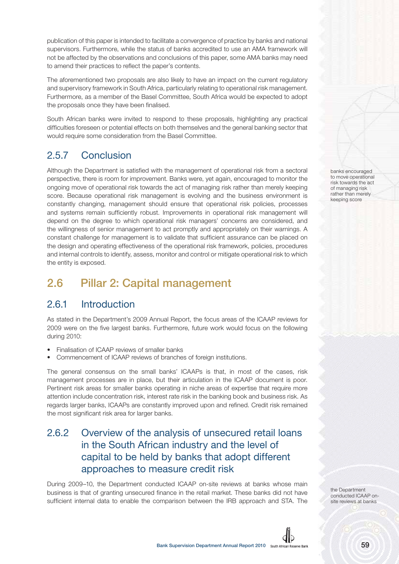publication of this paper is intended to facilitate a convergence of practice by banks and national supervisors. Furthermore, while the status of banks accredited to use an AMA framework will not be affected by the observations and conclusions of this paper, some AMA banks may need to amend their practices to reflect the paper's contents.

The aforementioned two proposals are also likely to have an impact on the current regulatory and supervisory framework in South Africa, particularly relating to operational risk management. Furthermore, as a member of the Basel Committee, South Africa would be expected to adopt the proposals once they have been finalised.

South African banks were invited to respond to these proposals, highlighting any practical difficulties foreseen or potential effects on both themselves and the general banking sector that would require some consideration from the Basel Committee.

### 2.5.7 Conclusion

Although the Department is satisfied with the management of operational risk from a sectoral perspective, there is room for improvement. Banks were, yet again, encouraged to monitor the ongoing move of operational risk towards the act of managing risk rather than merely keeping score. Because operational risk management is evolving and the business environment is constantly changing, management should ensure that operational risk policies, processes and systems remain sufficiently robust. Improvements in operational risk management will depend on the degree to which operational risk managers' concerns are considered, and the willingness of senior management to act promptly and appropriately on their warnings. A constant challenge for management is to validate that sufficient assurance can be placed on the design and operating effectiveness of the operational risk framework, policies, procedures and internal controls to identify, assess, monitor and control or mitigate operational risk to which the entity is exposed.

# **2.6 Pillar 2: Capital management**

### 2.6.1 Introduction

As stated in the Department's 2009 Annual Report, the focus areas of the ICAAP reviews for 2009 were on the five largest banks. Furthermore, future work would focus on the following during 2010:

- Finalisation of ICAAP reviews of smaller banks
- Commencement of ICAAP reviews of branches of foreign institutions.

The general consensus on the small banks' ICAAPs is that, in most of the cases, risk management processes are in place, but their articulation in the ICAAP document is poor. Pertinent risk areas for smaller banks operating in niche areas of expertise that require more attention include concentration risk, interest rate risk in the banking book and business risk. As regards larger banks, ICAAPs are constantly improved upon and refined. Credit risk remained the most significant risk area for larger banks.

### 2.6.2 Overview of the analysis of unsecured retail loans in the South African industry and the level of capital to be held by banks that adopt different approaches to measure credit risk

During 2009–10, the Department conducted ICAAP on-site reviews at banks whose main business is that of granting unsecured finance in the retail market. These banks did not have sufficient internal data to enable the comparison between the IRB approach and STA. The

banks encouraged to move operational risk towards the act of managing risk rather than merely keeping score

the Department conducted ICAAP onsite reviews at banks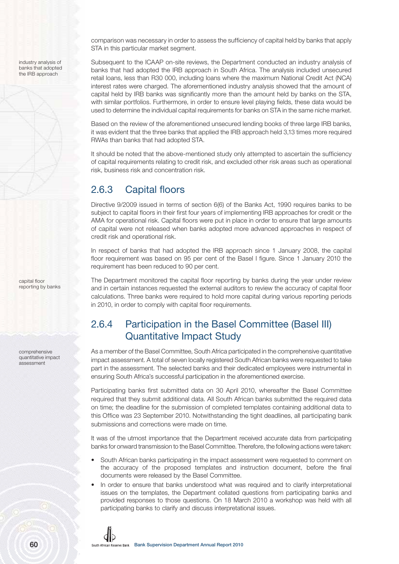industry analysis of banks that adopted the IRB approach

comparison was necessary in order to assess the sufficiency of capital held by banks that apply STA in this particular market segment.

Subsequent to the ICAAP on-site reviews, the Department conducted an industry analysis of banks that had adopted the IRB approach in South Africa. The analysis included unsecured retail loans, less than R30 000, including loans where the maximum National Credit Act (NCA) interest rates were charged. The aforementioned industry analysis showed that the amount of capital held by IRB banks was significantly more than the amount held by banks on the STA, with similar portfolios. Furthermore, in order to ensure level playing fields, these data would be used to determine the individual capital requirements for banks on STA in the same niche market.

Based on the review of the aforementioned unsecured lending books of three large IRB banks, it was evident that the three banks that applied the IRB approach held 3,13 times more required RWAs than banks that had adopted STA.

It should be noted that the above-mentioned study only attempted to ascertain the sufficiency of capital requirements relating to credit risk, and excluded other risk areas such as operational risk, business risk and concentration risk.

### 2.6.3 Capital floors

Directive 9/2009 issued in terms of section 6(6) of the Banks Act, 1990 requires banks to be subject to capital floors in their first four years of implementing IRB approaches for credit or the AMA for operational risk. Capital floors were put in place in order to ensure that large amounts of capital were not released when banks adopted more advanced approaches in respect of credit risk and operational risk.

In respect of banks that had adopted the IRB approach since 1 January 2008, the capital floor requirement was based on 95 per cent of the Basel I figure. Since 1 January 2010 the requirement has been reduced to 90 per cent.

The Department monitored the capital floor reporting by banks during the year under review and in certain instances requested the external auditors to review the accuracy of capital floor calculations. Three banks were required to hold more capital during various reporting periods in 2010, in order to comply with capital floor requirements.

## 2.6.4 Participation in the Basel Committee (Basel III) Quantitative Impact Study

As a member of the Basel Committee, South Africa participated in the comprehensive quantitative impact assessment. A total of seven locally registered South African banks were requested to take part in the assessment. The selected banks and their dedicated employees were instrumental in ensuring South Africa's successful participation in the aforementioned exercise.

Participating banks first submitted data on 30 April 2010, whereafter the Basel Committee required that they submit additional data. All South African banks submitted the required data on time; the deadline for the submission of completed templates containing additional data to this Office was 23 September 2010. Notwithstanding the tight deadlines, all participating bank submissions and corrections were made on time.

It was of the utmost importance that the Department received accurate data from participating banks for onward transmission to the Basel Committee. Therefore, the following actions were taken:

- South African banks participating in the impact assessment were requested to comment on the accuracy of the proposed templates and instruction document, before the final documents were released by the Basel Committee.
- In order to ensure that banks understood what was required and to clarify interpretational issues on the templates, the Department collated questions from participating banks and provided responses to those questions. On 18 March 2010 a workshop was held with all participating banks to clarify and discuss interpretational issues.

reporting by banks

capital floor

comprehensive quantitative impact assessment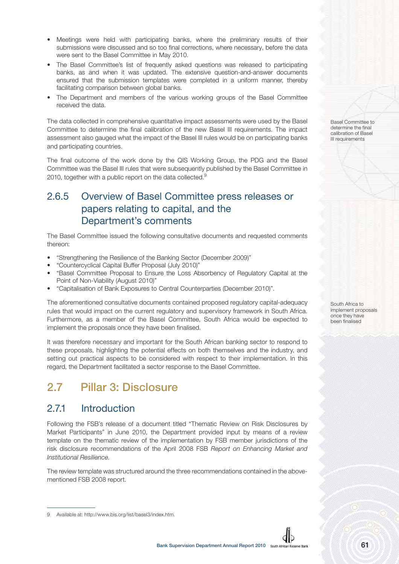- Meetings were held with participating banks, where the preliminary results of their submissions were discussed and so too final corrections, where necessary, before the data were sent to the Basel Committee in May 2010.
- The Basel Committee's list of frequently asked questions was released to participating banks, as and when it was updated. The extensive question-and-answer documents ensured that the submission templates were completed in a uniform manner, thereby facilitating comparison between global banks.
- The Department and members of the various working groups of the Basel Committee received the data.

The data collected in comprehensive quantitative impact assessments were used by the Basel Committee to determine the final calibration of the new Basel III requirements. The impact assessment also gauged what the impact of the Basel III rules would be on participating banks and participating countries.

The final outcome of the work done by the QIS Working Group, the PDG and the Basel Committee was the Basel III rules that were subsequently published by the Basel Committee in 2010, together with a public report on the data collected. $9$ 

### 2.6.5 Overview of Basel Committee press releases or papers relating to capital, and the Department's comments

The Basel Committee issued the following consultative documents and requested comments thereon:

- "Strengthening the Resilience of the Banking Sector (December 2009)"
- "Countercyclical Capital Buffer Proposal (July 2010)"
- "Basel Committee Proposal to Ensure the Loss Absorbency of Regulatory Capital at the Point of Non-Viability (August 2010)"
- "Capitalisation of Bank Exposures to Central Counterparties (December 2010)".

The aforementioned consultative documents contained proposed regulatory capital-adequacy rules that would impact on the current regulatory and supervisory framework in South Africa. Furthermore, as a member of the Basel Committee, South Africa would be expected to implement the proposals once they have been finalised.

It was therefore necessary and important for the South African banking sector to respond to these proposals, highlighting the potential effects on both themselves and the industry, and setting out practical aspects to be considered with respect to their implementation. In this regard, the Department facilitated a sector response to the Basel Committee.

# **2.7 Pillar 3: Disclosure**

### 2.7.1 Introduction

Following the FSB's release of a document titled "Thematic Review on Risk Disclosures by Market Participants" in June 2010, the Department provided input by means of a review template on the thematic review of the implementation by FSB member jurisdictions of the risk disclosure recommendations of the April 2008 FSB Report on Enhancing Market and Institutional Resilience.

The review template was structured around the three recommendations contained in the abovementioned FSB 2008 report.

Basel Committee to determine the final calibration of Basel III requirements

South Africa to implement proposals once they have been finalised

<sup>9</sup> Available at: http://www.bis.org/list/basel3/index.htm.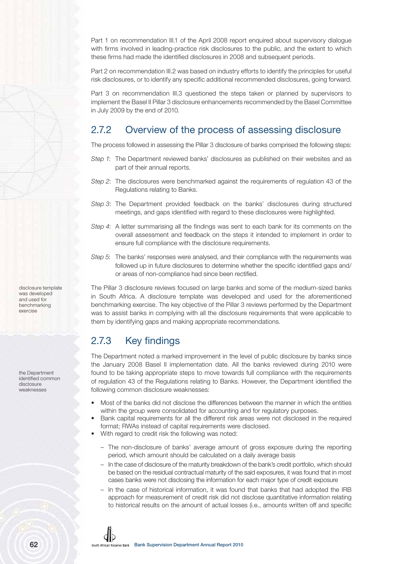Part 1 on recommendation III.1 of the April 2008 report enquired about supervisory dialogue with firms involved in leading-practice risk disclosures to the public, and the extent to which these firms had made the identified disclosures in 2008 and subsequent periods.

Part 2 on recommendation III.2 was based on industry efforts to identify the principles for useful risk disclosures, or to identify any specific additional recommended disclosures, going forward.

Part 3 on recommendation III.3 questioned the steps taken or planned by supervisors to implement the Basel II Pillar 3 disclosure enhancements recommended by the Basel Committee in July 2009 by the end of 2010.

### 2.7.2 Overview of the process of assessing disclosure

The process followed in assessing the Pillar 3 disclosure of banks comprised the following steps:

- Step 1: The Department reviewed banks' disclosures as published on their websites and as part of their annual reports.
- Step 2: The disclosures were benchmarked against the requirements of regulation 43 of the Regulations relating to Banks.
- Step 3: The Department provided feedback on the banks' disclosures during structured meetings, and gaps identified with regard to these disclosures were highlighted.
- Step 4: A letter summarising all the findings was sent to each bank for its comments on the overall assessment and feedback on the steps it intended to implement in order to ensure full compliance with the disclosure requirements.
- Step 5: The banks' responses were analysed, and their compliance with the requirements was followed up in future disclosures to determine whether the specific identified gaps and/ or areas of non-compliance had since been rectified.

The Pillar 3 disclosure reviews focused on large banks and some of the medium-sized banks in South Africa. A disclosure template was developed and used for the aforementioned benchmarking exercise. The key objective of the Pillar 3 reviews performed by the Department was to assist banks in complying with all the disclosure requirements that were applicable to them by identifying gaps and making appropriate recommendations.

### 2.7.3 Key findings

The Department noted a marked improvement in the level of public disclosure by banks since the January 2008 Basel II implementation date. All the banks reviewed during 2010 were found to be taking appropriate steps to move towards full compliance with the requirements of regulation 43 of the Regulations relating to Banks. However, the Department identified the following common disclosure weaknesses:

- Most of the banks did not disclose the differences between the manner in which the entities within the group were consolidated for accounting and for regulatory purposes.
- Bank capital requirements for all the different risk areas were not disclosed in the required format; RWAs instead of capital requirements were disclosed.
- With regard to credit risk the following was noted:
	- The non-disclosure of banks' average amount of gross exposure during the reporting period, which amount should be calculated on a daily average basis
	- In the case of disclosure of the maturity breakdown of the bank's credit portfolio, which should be based on the residual contractual maturity of the said exposures, it was found that in most cases banks were not disclosing the information for each major type of credit exposure
	- In the case of historical information, it was found that banks that had adopted the IRB approach for measurement of credit risk did not disclose quantitative information relating to historical results on the amount of actual losses (i.e., amounts written off and specific

disclosure template was developed and used for benchmarking exercise

the Department identified common disclosure weaknesses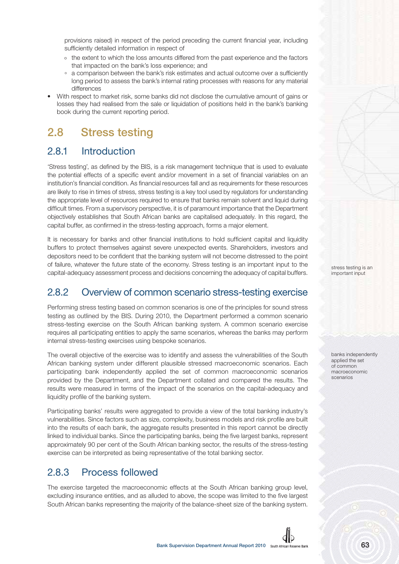provisions raised) in respect of the period preceding the current financial year, including sufficiently detailed information in respect of

- º the extent to which the loss amounts differed from the past experience and the factors that impacted on the bank's loss experience; and
- ° a comparison between the bank's risk estimates and actual outcome over a sufficiently long period to assess the bank's internal rating processes with reasons for any material differences
- With respect to market risk, some banks did not disclose the cumulative amount of gains or losses they had realised from the sale or liquidation of positions held in the bank's banking book during the current reporting period.

# **2.8 Stress testing**

### 2.8.1 Introduction

'Stress testing', as defined by the BIS, is a risk management technique that is used to evaluate the potential effects of a specific event and/or movement in a set of financial variables on an institution's financial condition. As financial resources fall and as requirements for these resources are likely to rise in times of stress, stress testing is a key tool used by regulators for understanding the appropriate level of resources required to ensure that banks remain solvent and liquid during difficult times. From a supervisory perspective, it is of paramount importance that the Department objectively establishes that South African banks are capitalised adequately. In this regard, the capital buffer, as confirmed in the stress-testing approach, forms a major element.

It is necessary for banks and other financial institutions to hold sufficient capital and liquidity buffers to protect themselves against severe unexpected events. Shareholders, investors and depositors need to be confident that the banking system will not become distressed to the point of failure, whatever the future state of the economy. Stress testing is an important input to the capital-adequacy assessment process and decisions concerning the adequacy of capital buffers.

### 2.8.2 Overview of common scenario stress-testing exercise

Performing stress testing based on common scenarios is one of the principles for sound stress testing as outlined by the BIS. During 2010, the Department performed a common scenario stress-testing exercise on the South African banking system. A common scenario exercise requires all participating entities to apply the same scenarios, whereas the banks may perform internal stress-testing exercises using bespoke scenarios.

The overall objective of the exercise was to identify and assess the vulnerabilities of the South African banking system under different plausible stressed macroeconomic scenarios. Each participating bank independently applied the set of common macroeconomic scenarios provided by the Department, and the Department collated and compared the results. The results were measured in terms of the impact of the scenarios on the capital-adequacy and liquidity profile of the banking system.

Participating banks' results were aggregated to provide a view of the total banking industry's vulnerabilities. Since factors such as size, complexity, business models and risk profile are built into the results of each bank, the aggregate results presented in this report cannot be directly linked to individual banks. Since the participating banks, being the five largest banks, represent approximately 90 per cent of the South African banking sector, the results of the stress-testing exercise can be interpreted as being representative of the total banking sector.

### 2.8.3 Process followed

The exercise targeted the macroeconomic effects at the South African banking group level, excluding insurance entities, and as alluded to above, the scope was limited to the five largest South African banks representing the majority of the balance-sheet size of the banking system.



banks independently applied the set of common macroeconomic scenarios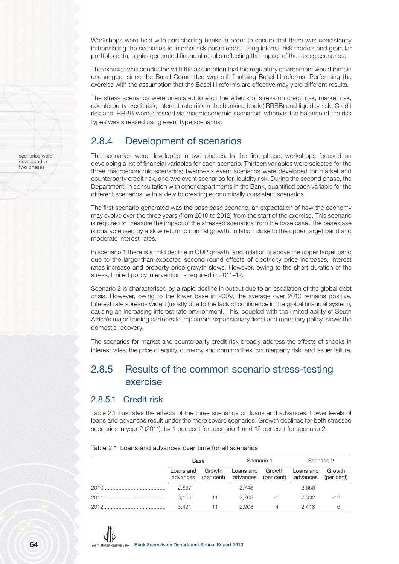Workshops were held with participating banks in order to ensure that there was consistency in translating the scenarios to internal risk parameters. Using internal risk models and granular portfolio data, banks generated financial results reflecting the impact of the stress scenarios.

The exercise was conducted with the assumption that the regulatory environment would remain unchanged, since the Basel Committee was still finalising Basel III reforms. Performing the exercise with the assumption that the Basel III reforms are effective may yield different results.

The stress scenarios were orientated to elicit the effects of stress on credit risk, market risk, counterparty credit risk, interest-rate risk in the banking book (IRRBB) and liquidity risk. Credit risk and IRRBB were stressed via macroeconomic scenarios, whereas the balance of the risk types was stressed using event type scenarios.

### 2.8.4 Development of scenarios

The scenarios were developed in two phases. In the first phase, workshops focused on developing a list of financial variables for each scenario. Thirteen variables were selected for the three macroeconomic scenarios; twenty-six event scenarios were developed for market and counterparty credit risk, and two event scenarios for liquidity risk. During the second phase, the Department, in consultation with other departments in the Bank, quantified each variable for the different scenarios, with a view to creating economically consistent scenarios.

The first scenario generated was the base case scenario, an expectation of how the economy may evolve over the three years (from 2010 to 2012) from the start of the exercise. This scenario is required to measure the impact of the stressed scenarios from the base case. The base case is characterised by a slow return to normal growth, inflation close to the upper target band and moderate interest rates.

In scenario 1 there is a mild decline in GDP growth, and inflation is above the upper target band due to the larger-than-expected second-round effects of electricity price increases, interest rates increase and property price growth slows. However, owing to the short duration of the stress, limited policy intervention is required in 2011–12.

Scenario 2 is characterised by a rapid decline in output due to an escalation of the global debt crisis. However, owing to the lower base in 2009, the average over 2010 remains positive. Interest rate spreads widen (mostly due to the lack of confidence in the global financial system), causing an increasing interest rate environment. This, coupled with the limited ability of South Africa's major trading partners to implement expansionary fiscal and monetary policy, slows the domestic recovery.

The scenarios for market and counterparty credit risk broadly address the effects of shocks in interest rates; the price of equity, currency and commodities; counterparty risk; and issuer failure.

### 2.8.5 Results of the common scenario stress-testing exercise

#### 2.8.5.1 Credit risk

Table 2.1 illustrates the effects of the three scenarios on loans and advances. Lower levels of loans and advances result under the more severe scenarios. Growth declines for both stressed scenarios in year 2 (2011), by 1 per cent for scenario 1 and 12 per cent for scenario 2.

| Table 2.1 Loans and advances over time for all scenarios |  |  |  |
|----------------------------------------------------------|--|--|--|
|----------------------------------------------------------|--|--|--|

| Base      |       | Scenario 1              |      | Scenario 2                                                               |        |
|-----------|-------|-------------------------|------|--------------------------------------------------------------------------|--------|
| Loans and |       | Growth Loans and Growth |      | Loans and<br>advances (per cent) advances (per cent) advances (per cent) | Growth |
| 2,837     |       | 2.743                   |      | 2,656                                                                    |        |
| 3.155     | $-11$ | 2.703                   | $-1$ | 2.332                                                                    | $-12$  |
| 3.491     | -11   | 2.903                   | 4    | 2.418                                                                    | 6      |

scenarios were developed in two phases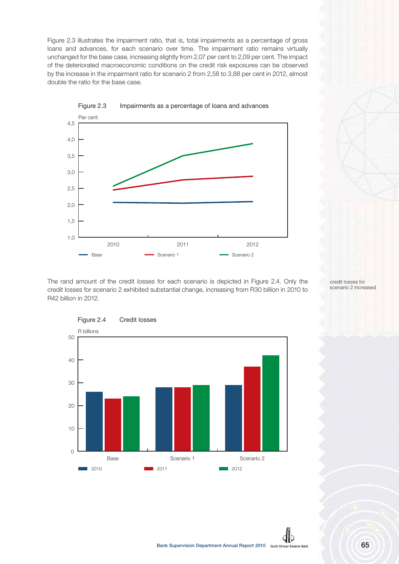Figure 2.3 illustrates the impairment ratio, that is, total impairments as a percentage of gross loans and advances, for each scenario over time. The impairment ratio remains virtually unchanged for the base case, increasing slightly from 2,07 per cent to 2,09 per cent. The impact of the deteriorated macroeconomic conditions on the credit risk exposures can be observed by the increase in the impairment ratio for scenario 2 from 2,58 to 3,88 per cent in 2012, almost double the ratio for the base case.



The rand amount of the credit losses for each scenario is depicted in Figure 2.4. Only the credit losses for scenario 2 exhibited substantial change, increasing from R30 billion in 2010 to R42 billion in 2012.



credit losses for scenario 2 increased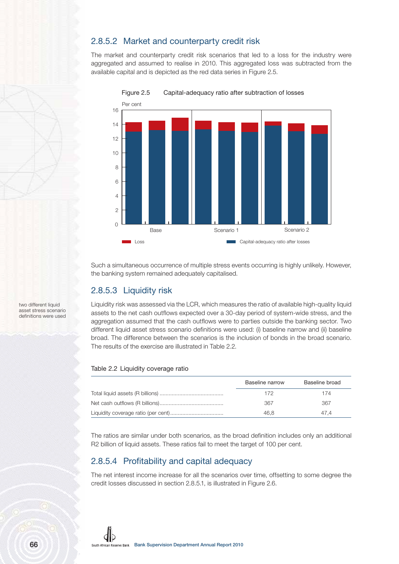#### 2.8.5.2 Market and counterparty credit risk

The market and counterparty credit risk scenarios that led to a loss for the industry were aggregated and assumed to realise in 2010. This aggregated loss was subtracted from the available capital and is depicted as the red data series in Figure 2.5.



Figure 2.5 Capital-adequacy ratio after subtraction of losses

Such a simultaneous occurrence of multiple stress events occurring is highly unlikely. However, the banking system remained adequately capitalised.

#### 2.8.5.3 Liquidity risk

Liquidity risk was assessed via the LCR, which measures the ratio of available high-quality liquid assets to the net cash outflows expected over a 30-day period of system-wide stress, and the aggregation assumed that the cash outflows were to parties outside the banking sector. Two different liquid asset stress scenario definitions were used: (i) baseline narrow and (ii) baseline broad. The difference between the scenarios is the inclusion of bonds in the broad scenario. The results of the exercise are illustrated in Table 2.2.

#### Table 2.2 Liquidity coverage ratio

| Baseline narrow | Baseline broad |
|-----------------|----------------|
| 172             | 174            |
| 367             | 367            |
| 46.8            | 47.4           |

The ratios are similar under both scenarios, as the broad definition includes only an additional R2 billion of liquid assets. These ratios fail to meet the target of 100 per cent.

#### 2.8.5.4 Profitability and capital adequacy

The net interest income increase for all the scenarios over time, offsetting to some degree the credit losses discussed in section 2.8.5.1, is illustrated in Figure 2.6.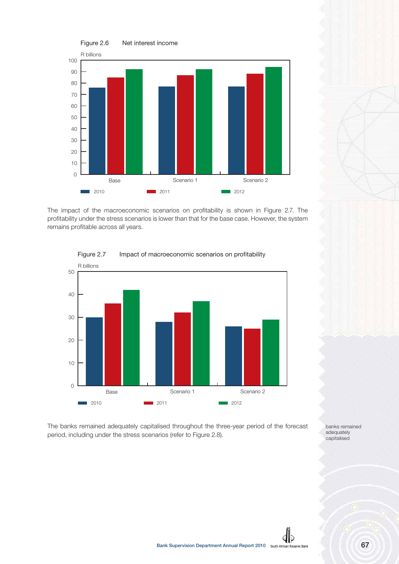

The impact of the macroeconomic scenarios on profitability is shown in Figure 2.7. The profitability under the stress scenarios is lower than that for the base case. However, the system remains profitable across all years.



#### Figure 2.7 Impact of macroeconomic scenarios on profitability

The banks remained adequately capitalised throughout the three-year period of the forecast period, including under the stress scenarios (refer to Figure 2.8).

banks remained adequately capitalised

db